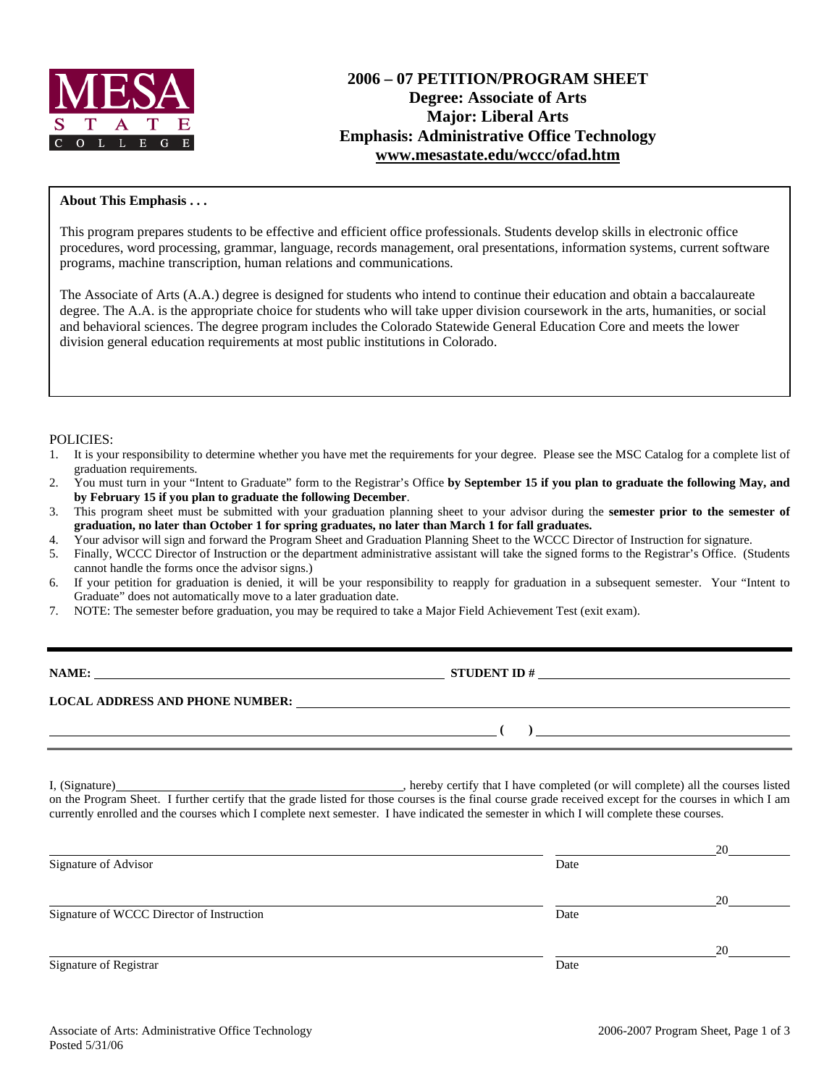

# **2006 – 07 PETITION/PROGRAM SHEET Degree: Associate of Arts Major: Liberal Arts Emphasis: Administrative Office Technology www.mesastate.edu/wccc/ofad.htm**

## **About This Emphasis . . .**

This program prepares students to be effective and efficient office professionals. Students develop skills in electronic office procedures, word processing, grammar, language, records management, oral presentations, information systems, current software programs, machine transcription, human relations and communications.

The Associate of Arts (A.A.) degree is designed for students who intend to continue their education and obtain a baccalaureate degree. The A.A. is the appropriate choice for students who will take upper division coursework in the arts, humanities, or social and behavioral sciences. The degree program includes the Colorado Statewide General Education Core and meets the lower division general education requirements at most public institutions in Colorado.

## POLICIES:

- 1. It is your responsibility to determine whether you have met the requirements for your degree. Please see the MSC Catalog for a complete list of graduation requirements.
- 2. You must turn in your "Intent to Graduate" form to the Registrar's Office **by September 15 if you plan to graduate the following May, and by February 15 if you plan to graduate the following December**.
- 3. This program sheet must be submitted with your graduation planning sheet to your advisor during the **semester prior to the semester of graduation, no later than October 1 for spring graduates, no later than March 1 for fall graduates.**
- 4. Your advisor will sign and forward the Program Sheet and Graduation Planning Sheet to the WCCC Director of Instruction for signature.
- 5. Finally, WCCC Director of Instruction or the department administrative assistant will take the signed forms to the Registrar's Office. (Students cannot handle the forms once the advisor signs.)
- 6. If your petition for graduation is denied, it will be your responsibility to reapply for graduation in a subsequent semester. Your "Intent to Graduate" does not automatically move to a later graduation date.
- 7. NOTE: The semester before graduation, you may be required to take a Major Field Achievement Test (exit exam).

| NAME:                                  | <b>STUDENT ID#</b> |
|----------------------------------------|--------------------|
| <b>LOCAL ADDRESS AND PHONE NUMBER:</b> |                    |
|                                        |                    |

I, (Signature) **Solution** , hereby certify that I have completed (or will complete) all the courses listed on the Program Sheet. I further certify that the grade listed for those courses is the final course grade received except for the courses in which I am currently enrolled and the courses which I complete next semester. I have indicated the semester in which I will complete these courses.

 **( )** 

| Signature of Advisor                      | Date | 20 |
|-------------------------------------------|------|----|
|                                           | Date | 20 |
| Signature of WCCC Director of Instruction |      | 20 |
| Signature of Registrar                    | Date |    |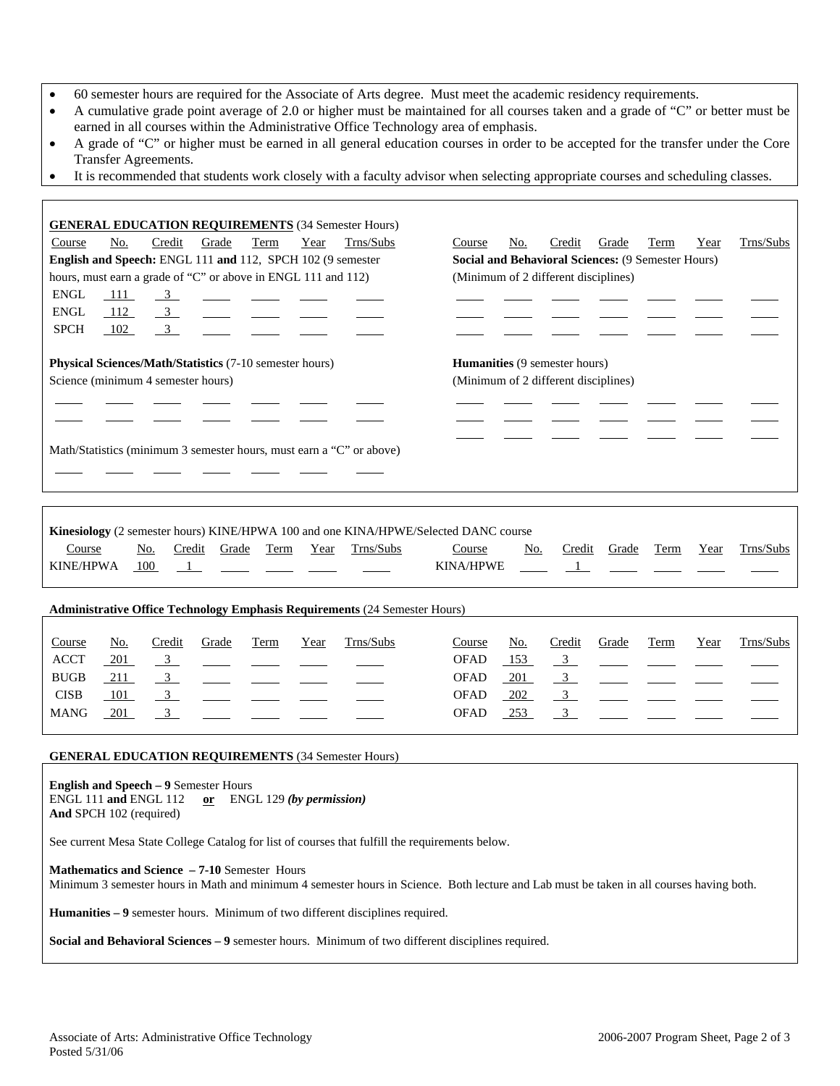- 60 semester hours are required for the Associate of Arts degree. Must meet the academic residency requirements.
- A cumulative grade point average of 2.0 or higher must be maintained for all courses taken and a grade of "C" or better must be earned in all courses within the Administrative Office Technology area of emphasis.
- A grade of "C" or higher must be earned in all general education courses in order to be accepted for the transfer under the Core Transfer Agreements.
- It is recommended that students work closely with a faculty advisor when selecting appropriate courses and scheduling classes.

|                                                                                                      |     |                         |       |                                                               |      | <b>GENERAL EDUCATION REQUIREMENTS (34 Semester Hours)</b> |        |     |                                                                              |       |      |      |           |
|------------------------------------------------------------------------------------------------------|-----|-------------------------|-------|---------------------------------------------------------------|------|-----------------------------------------------------------|--------|-----|------------------------------------------------------------------------------|-------|------|------|-----------|
| Course                                                                                               | No. | Credit                  | Grade | Term                                                          | Year | Trns/Subs                                                 | Course | No. | Credit                                                                       | Grade | Term | Year | Trns/Subs |
|                                                                                                      |     |                         |       | English and Speech: ENGL 111 and 112, SPCH 102 (9 semester    |      |                                                           |        |     | <b>Social and Behavioral Sciences: (9 Semester Hours)</b>                    |       |      |      |           |
|                                                                                                      |     |                         |       | hours, must earn a grade of "C" or above in ENGL 111 and 112) |      |                                                           |        |     | (Minimum of 2 different disciplines)                                         |       |      |      |           |
| ENGL                                                                                                 | 111 | $\overline{\mathbf{3}}$ |       |                                                               |      |                                                           |        |     |                                                                              |       |      |      |           |
| ENGL                                                                                                 | 112 | $\frac{3}{2}$           |       |                                                               |      |                                                           |        |     |                                                                              |       |      |      |           |
| <b>SPCH</b>                                                                                          | 102 | $\overline{\mathbf{3}}$ |       |                                                               |      |                                                           |        |     |                                                                              |       |      |      |           |
| <b>Physical Sciences/Math/Statistics (7-10 semester hours)</b><br>Science (minimum 4 semester hours) |     |                         |       |                                                               |      |                                                           |        |     |                                                                              |       |      |      |           |
|                                                                                                      |     |                         |       |                                                               |      |                                                           |        |     | <b>Humanities</b> (9 semester hours)<br>(Minimum of 2 different disciplines) |       |      |      |           |

|               |     |                        |  |           | Kinesiology (2 semester hours) KINE/HPWA 100 and one KINA/HPWE/Selected DANC course                                                                                                                                                                                                                                                                                                                                           |     |        |            |      |           |
|---------------|-----|------------------------|--|-----------|-------------------------------------------------------------------------------------------------------------------------------------------------------------------------------------------------------------------------------------------------------------------------------------------------------------------------------------------------------------------------------------------------------------------------------|-----|--------|------------|------|-----------|
| Course        | No. | Credit Grade Term Year |  | Trns/Subs | Course                                                                                                                                                                                                                                                                                                                                                                                                                        | No. | Credit | Grade Term | Year | Trns/Subs |
| KINE/HPWA 100 |     |                        |  |           | KINA/HPWE $\frac{1}{\sqrt{1-\frac{1}{2}} \sqrt{1-\frac{1}{2}} \sqrt{1-\frac{1}{2}} \sqrt{1-\frac{1}{2}} \sqrt{1-\frac{1}{2}} \sqrt{1-\frac{1}{2}} \sqrt{1-\frac{1}{2}} \sqrt{1-\frac{1}{2}} \sqrt{1-\frac{1}{2}} \sqrt{1-\frac{1}{2}} \sqrt{1-\frac{1}{2}} \sqrt{1-\frac{1}{2}} \sqrt{1-\frac{1}{2}} \sqrt{1-\frac{1}{2}} \sqrt{1-\frac{1}{2}} \sqrt{1-\frac{1}{2}} \sqrt{1-\frac{1}{2}} \sqrt{1-\frac{1}{2}} \sqrt{1-\frac{$ |     |        |            |      |           |

### **Administrative Office Technology Emphasis Requirements** (24 Semester Hours)

| Course      | No. | Credit | Grade                                                   | Term | Year | Trns/Subs | Course      | <u>No.</u> | Credit | Grade          | Term | Year | Trns/Subs                                                                           |
|-------------|-----|--------|---------------------------------------------------------|------|------|-----------|-------------|------------|--------|----------------|------|------|-------------------------------------------------------------------------------------|
| <b>ACCT</b> | 201 |        |                                                         |      |      |           | <b>OFAD</b> | 153        |        |                |      |      | $\frac{3}{2}$ $\frac{1}{2}$ $\frac{1}{2}$ $\frac{1}{2}$ $\frac{1}{2}$ $\frac{1}{2}$ |
| <b>BUGB</b> | 211 |        | $\frac{3}{2}$ $\frac{1}{2}$ $\frac{1}{2}$ $\frac{1}{2}$ |      |      |           | <b>OFAD</b> | 201        |        | $\overline{3}$ |      |      |                                                                                     |
| <b>CISB</b> | 101 |        |                                                         |      |      |           | <b>OFAD</b> | 202        |        |                |      |      |                                                                                     |
| <b>MANG</b> | 201 |        |                                                         |      |      |           | <b>OFAD</b> | 253        |        |                |      |      |                                                                                     |

#### **GENERAL EDUCATION REQUIREMENTS** (34 Semester Hours)

**English and Speech – 9** Semester Hours ENGL 111 **and** ENGL 112 **or** ENGL 129 *(by permission)* **And** SPCH 102 (required)

See current Mesa State College Catalog for list of courses that fulfill the requirements below.

**Mathematics and Science – 7-10** Semester Hours

Minimum 3 semester hours in Math and minimum 4 semester hours in Science. Both lecture and Lab must be taken in all courses having both.

**Humanities – 9** semester hours. Minimum of two different disciplines required.

**Social and Behavioral Sciences – 9** semester hours. Minimum of two different disciplines required.